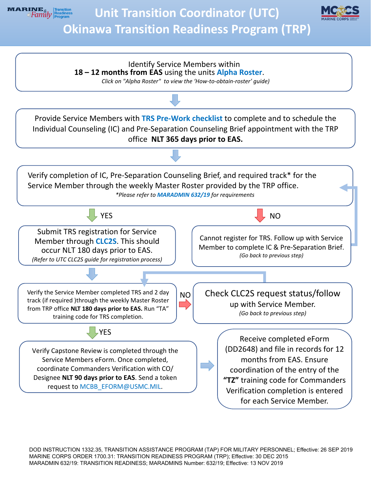